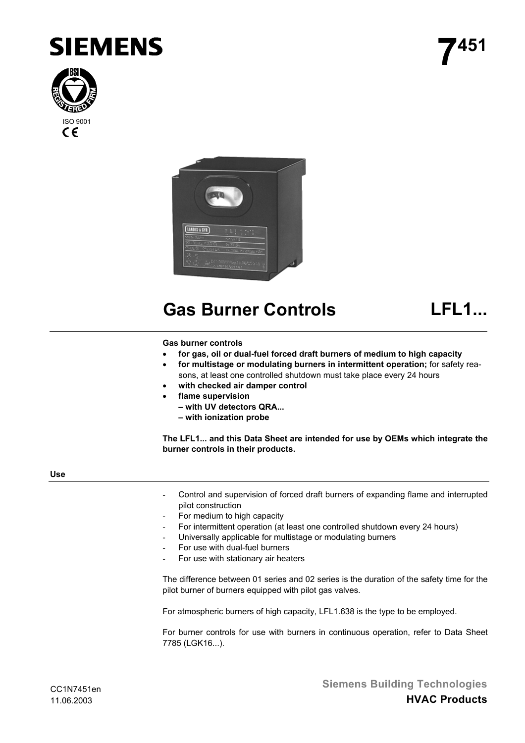





# **Gas Burner Controls LFL1...**

## **Gas burner controls**

- **for gas, oil or dual-fuel forced draft burners of medium to high capacity**
- **for multistage or modulating burners in intermittent operation;** for safety reasons, at least one controlled shutdown must take place every 24 hours
- **with checked air damper control**
- **flame supervision**
	- **with UV detectors QRA...**
	- **with ionization probe**

**The LFL1... and this Data Sheet are intended for use by OEMs which integrate the burner controls in their products.**

## **Use**

- Control and supervision of forced draft burners of expanding flame and interrupted pilot construction
- For medium to high capacity
- For intermittent operation (at least one controlled shutdown every 24 hours)
- Universally applicable for multistage or modulating burners
- For use with dual-fuel burners
- For use with stationary air heaters

The difference between 01 series and 02 series is the duration of the safety time for the pilot burner of burners equipped with pilot gas valves.

For atmospheric burners of high capacity, LFL1.638 is the type to be employed.

For burner controls for use with burners in continuous operation, refer to Data Sheet 7785 (LGK16...).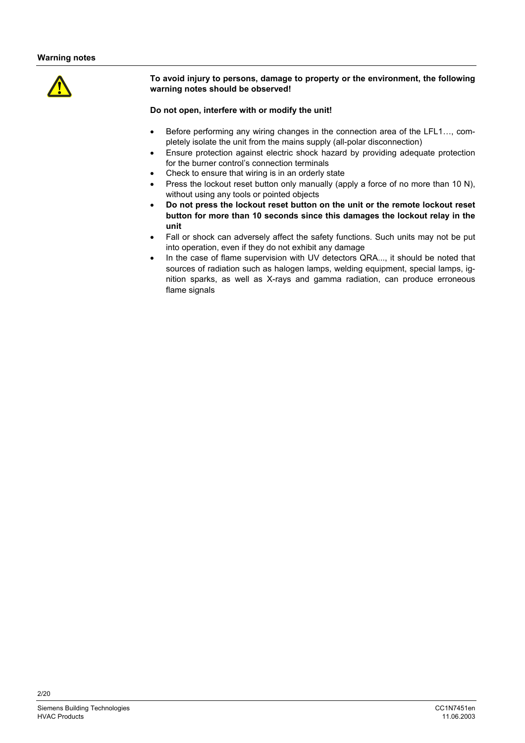

**To avoid injury to persons, damage to property or the environment, the following warning notes should be observed!**

## **Do not open, interfere with or modify the unit!**

- Before performing any wiring changes in the connection area of the LFL1…, completely isolate the unit from the mains supply (all-polar disconnection)
- Ensure protection against electric shock hazard by providing adequate protection for the burner control's connection terminals
- Check to ensure that wiring is in an orderly state
- Press the lockout reset button only manually (apply a force of no more than 10 N). without using any tools or pointed objects
- **Do not press the lockout reset button on the unit or the remote lockout reset button for more than 10 seconds since this damages the lockout relay in the unit**
- Fall or shock can adversely affect the safety functions. Such units may not be put into operation, even if they do not exhibit any damage
- In the case of flame supervision with UV detectors QRA..., it should be noted that sources of radiation such as halogen lamps, welding equipment, special lamps, ignition sparks, as well as X-rays and gamma radiation, can produce erroneous flame signals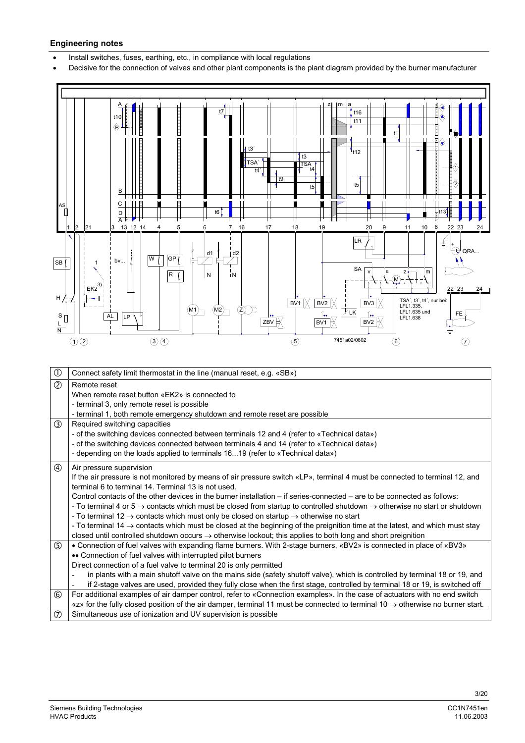#### **Engineering notes**

Install switches, fuses, earthing, etc., in compliance with local regulations

• Decisive for the connection of valves and other plant components is the plant diagram provided by the burner manufacturer

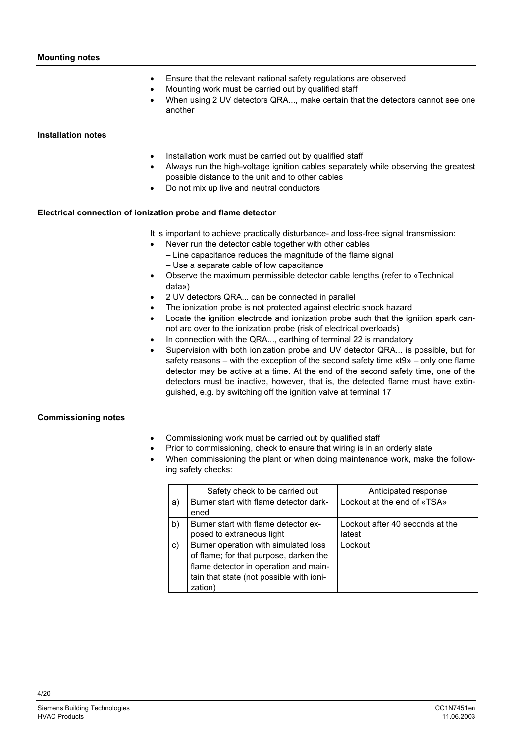- Ensure that the relevant national safety regulations are observed
- Mounting work must be carried out by qualified staff
- When using 2 UV detectors QRA..., make certain that the detectors cannot see one another

#### **Installation notes**

- Installation work must be carried out by qualified staff
- Always run the high-voltage ignition cables separately while observing the greatest possible distance to the unit and to other cables
- Do not mix up live and neutral conductors

## **Electrical connection of ionization probe and flame detector**

It is important to achieve practically disturbance- and loss-free signal transmission:

- Never run the detector cable together with other cables
	- Line capacitance reduces the magnitude of the flame signal – Use a separate cable of low capacitance
- Observe the maximum permissible detector cable lengths (refer to «Technical data»)
- 2 UV detectors QRA... can be connected in parallel
- The ionization probe is not protected against electric shock hazard
- Locate the ignition electrode and ionization probe such that the ignition spark cannot arc over to the ionization probe (risk of electrical overloads)
- In connection with the QRA..., earthing of terminal 22 is mandatory
- Supervision with both ionization probe and UV detector QRA... is possible, but for safety reasons – with the exception of the second safety time «t9» – only one flame detector may be active at a time. At the end of the second safety time, one of the detectors must be inactive, however, that is, the detected flame must have extinguished, e.g. by switching off the ignition valve at terminal 17

## **Commissioning notes**

- Commissioning work must be carried out by qualified staff
- Prior to commissioning, check to ensure that wiring is in an orderly state
- When commissioning the plant or when doing maintenance work, make the following safety checks:

|    | Safety check to be carried out                                                                                                                                                 | Anticipated response            |
|----|--------------------------------------------------------------------------------------------------------------------------------------------------------------------------------|---------------------------------|
| a) | Burner start with flame detector dark-                                                                                                                                         | Lockout at the end of «TSA»     |
|    | ened                                                                                                                                                                           |                                 |
| b) | Burner start with flame detector ex-                                                                                                                                           | Lockout after 40 seconds at the |
|    | posed to extraneous light                                                                                                                                                      | latest                          |
| c) | Burner operation with simulated loss<br>of flame; for that purpose, darken the<br>flame detector in operation and main-<br>tain that state (not possible with ioni-<br>zation) | Lockout                         |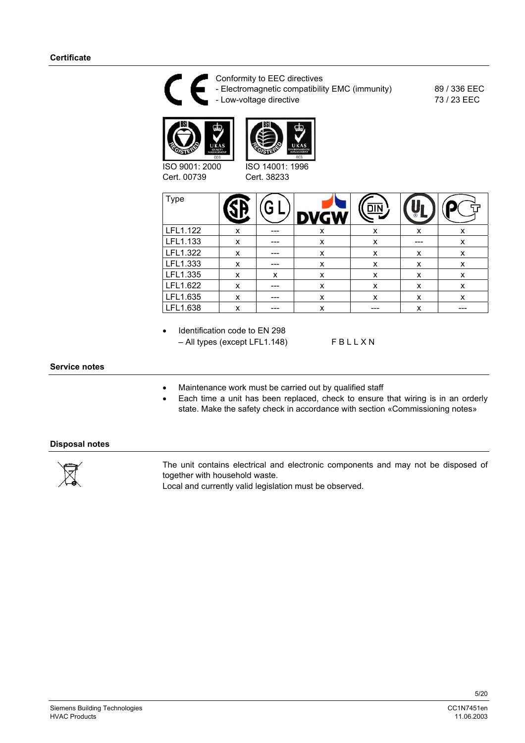

 $LEL1.635$  x -- x x x x x x  $LEL1.638$   $x = -1$   $x = -1$   $x = -1$   $x = -1$ 

Identification code to EN 298 – All types (except LFL1.148) F B L L X N

## **Service notes**

- Maintenance work must be carried out by qualified staff
- Each time a unit has been replaced, check to ensure that wiring is in an orderly state. Make the safety check in accordance with section «Commissioning notes»

## **Disposal notes**



The unit contains electrical and electronic components and may not be disposed of together with household waste.

Local and currently valid legislation must be observed.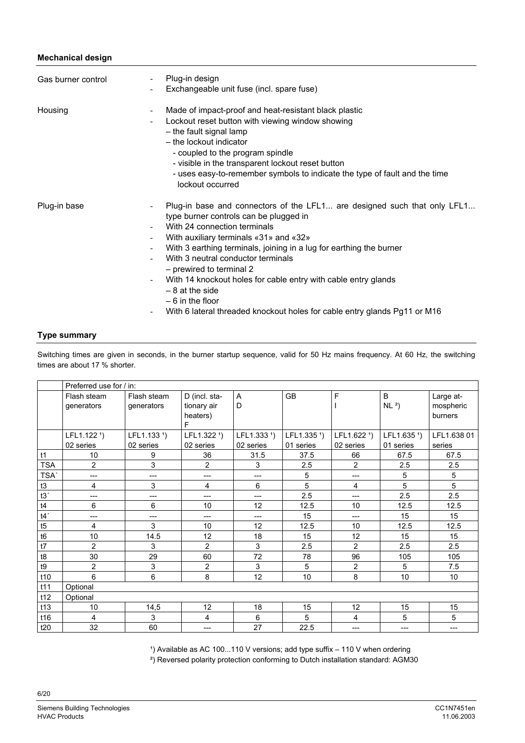## **Mechanical design**

| Gas burner control | $\overline{\phantom{a}}$                                                              | Plug-in design<br>Exchangeable unit fuse (incl. spare fuse)                                                                                                                                                                                                                                                                                                                                                                                                                                                                   |
|--------------------|---------------------------------------------------------------------------------------|-------------------------------------------------------------------------------------------------------------------------------------------------------------------------------------------------------------------------------------------------------------------------------------------------------------------------------------------------------------------------------------------------------------------------------------------------------------------------------------------------------------------------------|
| Housing            | $\overline{\phantom{a}}$<br>$\overline{\phantom{a}}$                                  | Made of impact-proof and heat-resistant black plastic<br>Lockout reset button with viewing window showing<br>- the fault signal lamp<br>- the lockout indicator<br>- coupled to the program spindle<br>- visible in the transparent lockout reset button<br>- uses easy-to-remember symbols to indicate the type of fault and the time<br>lockout occurred                                                                                                                                                                    |
| Plug-in base       | $\overline{\phantom{a}}$<br>$\overline{\phantom{a}}$<br>$\overline{\phantom{a}}$<br>- | Plug-in base and connectors of the LFL1 are designed such that only LFL1<br>type burner controls can be plugged in<br>With 24 connection terminals<br>With auxiliary terminals «31» and «32»<br>With 3 earthing terminals, joining in a lug for earthing the burner<br>With 3 neutral conductor terminals<br>- prewired to terminal 2<br>With 14 knockout holes for cable entry with cable entry glands<br>$-8$ at the side<br>$-6$ in the floor<br>With 6 lateral threaded knockout holes for cable entry glands Pg11 or M16 |

## **Type summary**

Switching times are given in seconds, in the burner startup sequence, valid for 50 Hz mains frequency. At 60 Hz, the switching times are about 17 % shorter.

|                | Preferred use for / in:   |                           |                                               |                         |                         |                         |                         |                                   |
|----------------|---------------------------|---------------------------|-----------------------------------------------|-------------------------|-------------------------|-------------------------|-------------------------|-----------------------------------|
|                | Flash steam<br>generators | Flash steam<br>generators | D (incl. sta-<br>tionary air<br>heaters)<br>F | A<br>D                  | <b>GB</b>               | F                       | B<br>NL <sup>2</sup>    | Large at-<br>mospheric<br>burners |
|                | LFL1.122 <sup>1</sup> )   | LFL1.133 <sup>1</sup> )   | LFL1.322 <sup>1</sup> )                       | LFL1.333 <sup>1</sup> ) | LFL1.335 <sup>1</sup> ) | LFL1.622 <sup>1</sup> ) | LFL1.635 <sup>1</sup> ) | LFL1.638 01                       |
|                | 02 series                 | 02 series                 | 02 series                                     | 02 series               | 01 series               | 02 series               | 01 series               | series                            |
| t1             | 10                        | 9                         | 36                                            | 31.5                    | 37.5                    | 66                      | 67.5                    | 67.5                              |
| <b>TSA</b>     | $\overline{2}$            | 3                         | $\overline{2}$                                | 3                       | 2.5                     | $\overline{2}$          | 2.5                     | 2.5                               |
| TSA'           | ---                       | ---                       | ---                                           | $---$                   | 5                       | ---                     | 5                       | 5                                 |
| t3             | 4                         | 3                         | 4                                             | 6                       | 5                       | 4                       | 5                       | 5                                 |
| t3'            | ---                       | ---                       | ---                                           | $---$                   | 2.5                     | ---                     | 2.5                     | 2.5                               |
| t4             | 6                         | 6                         | 10                                            | 12                      | 12.5                    | 10                      | 12.5                    | 12.5                              |
| t4'            | ---                       | ---                       | ---                                           | $---$                   | 15                      | ---                     | 15                      | 15                                |
| t5             | 4                         | 3                         | 10                                            | 12                      | 12.5                    | 10                      | 12.5                    | 12.5                              |
| t <sub>6</sub> | 10                        | 14.5                      | 12                                            | 18                      | 15                      | 12                      | 15                      | 15                                |
| t7             | 2                         | 3                         | 2                                             | 3                       | 2.5                     | $\overline{2}$          | 2.5                     | 2.5                               |
| t8             | 30                        | 29                        | 60                                            | 72                      | 78                      | 96                      | 105                     | 105                               |
| t9             | $\overline{2}$            | 3                         | $\overline{c}$                                | 3                       | 5                       | 2                       | 5                       | 7.5                               |
| t10            | 6                         | 6                         | 8                                             | 12                      | 10                      | 8                       | 10                      | 10 <sup>°</sup>                   |
| t11            | Optional                  |                           |                                               |                         |                         |                         |                         |                                   |
| t12            | Optional                  |                           |                                               |                         |                         |                         |                         |                                   |
| t13            | 10                        | 14,5                      | 12                                            | 18                      | 15                      | 12                      | 15                      | 15                                |
| t16            | 4                         | 3                         | 4                                             | 6                       | 5                       | 4                       | 5                       | 5                                 |
| t20            | 32                        | 60                        | ---                                           | 27                      | 22.5                    | ---                     | ---                     | ---                               |

 $'$ ) Available as AC 100...110 V versions; add type suffix  $-$  110 V when ordering

²) Reversed polarity protection conforming to Dutch installation standard: AGM30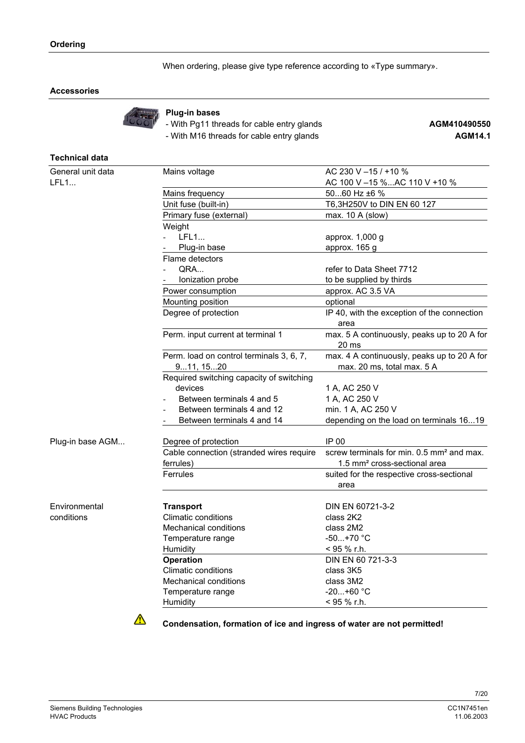When ordering, please give type reference according to «Type summary».

## **Accessories**



#### **Plug-in bases**

- With Pg11 threads for cable entry glands **AGM410490550** 

- With M16 threads for cable entry glands **AGM14.1**

## **Technical data**

| General unit data | Mains voltage                                         | AC 230 V -15 / +10 %                                                      |  |  |
|-------------------|-------------------------------------------------------|---------------------------------------------------------------------------|--|--|
| LFL1              |                                                       | AC 100 V-15 %AC 110 V +10 %                                               |  |  |
|                   | Mains frequency                                       | 5060 Hz ±6 %                                                              |  |  |
|                   | Unit fuse (built-in)                                  | T6,3H250V to DIN EN 60 127                                                |  |  |
|                   | Primary fuse (external)                               | max. $10 \text{ A}$ (slow)                                                |  |  |
|                   | Weight                                                |                                                                           |  |  |
|                   | <b>LFL1</b>                                           | approx. 1,000 g                                                           |  |  |
|                   | Plug-in base                                          | approx. 165 g                                                             |  |  |
|                   | Flame detectors                                       |                                                                           |  |  |
|                   | QRA                                                   | refer to Data Sheet 7712                                                  |  |  |
|                   | Ionization probe                                      | to be supplied by thirds                                                  |  |  |
|                   | Power consumption                                     | approx. AC 3.5 VA                                                         |  |  |
|                   | Mounting position                                     | optional                                                                  |  |  |
|                   | Degree of protection                                  | IP 40, with the exception of the connection<br>area                       |  |  |
|                   | Perm. input current at terminal 1                     | max. 5 A continuously, peaks up to 20 A for<br>20 <sub>ms</sub>           |  |  |
|                   | Perm. load on control terminals 3, 6, 7,<br>911, 1520 | max. 4 A continuously, peaks up to 20 A for<br>max. 20 ms, total max. 5 A |  |  |
|                   | Required switching capacity of switching              |                                                                           |  |  |
|                   | devices                                               | 1 A, AC 250 V                                                             |  |  |
|                   | Between terminals 4 and 5                             | 1 A, AC 250 V                                                             |  |  |
|                   | Between terminals 4 and 12                            | min. 1 A, AC 250 V                                                        |  |  |
|                   | Between terminals 4 and 14                            | depending on the load on terminals 1619                                   |  |  |
| Plug-in base AGM  | Degree of protection                                  | IP 00                                                                     |  |  |
|                   | Cable connection (stranded wires require              | screw terminals for min. 0.5 mm <sup>2</sup> and max.                     |  |  |
|                   | ferrules)                                             | 1.5 mm <sup>2</sup> cross-sectional area                                  |  |  |
|                   | Ferrules                                              | suited for the respective cross-sectional<br>area                         |  |  |
| Environmental     | <b>Transport</b>                                      | DIN EN 60721-3-2                                                          |  |  |
| conditions        | <b>Climatic conditions</b>                            | class 2K2                                                                 |  |  |
|                   | <b>Mechanical conditions</b>                          | class 2M2                                                                 |  |  |
|                   | Temperature range                                     | $-50+70$ °C                                                               |  |  |
|                   | Humidity                                              | < 95 % r.h.                                                               |  |  |
|                   | <b>Operation</b>                                      | DIN EN 60 721-3-3                                                         |  |  |
|                   | Climatic conditions                                   | class 3K5                                                                 |  |  |
|                   | <b>Mechanical conditions</b>                          | class 3M2                                                                 |  |  |
|                   | Temperature range                                     | $-20+60$ °C                                                               |  |  |
|                   | Humidity                                              | < 95 % r.h.                                                               |  |  |
|                   |                                                       |                                                                           |  |  |



**Condensation, formation of ice and ingress of water are not permitted!**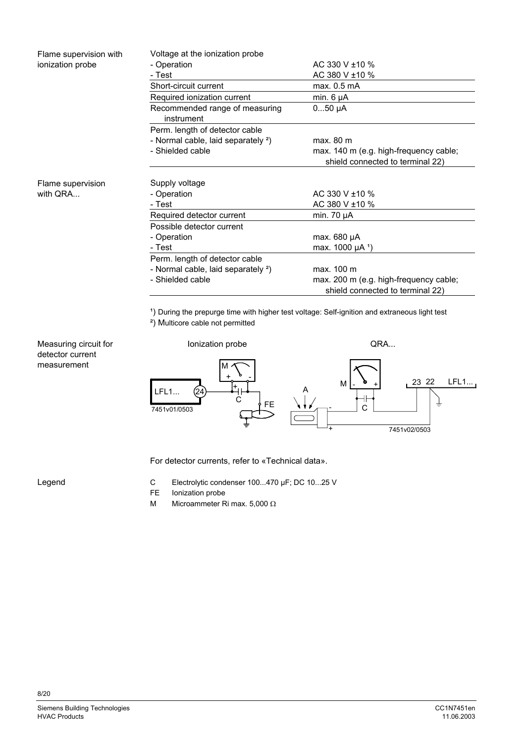| Flame supervision with | Voltage at the ionization probe                |                                                                            |
|------------------------|------------------------------------------------|----------------------------------------------------------------------------|
| ionization probe       | - Operation                                    | AC 330 V ±10 %                                                             |
|                        | - Test                                         | AC 380 V ±10 %                                                             |
|                        | Short-circuit current                          | max. 0.5 mA                                                                |
|                        | Required ionization current                    | min. $6 \mu A$                                                             |
|                        | Recommended range of measuring<br>instrument   | $050 \mu A$                                                                |
|                        | Perm. length of detector cable                 |                                                                            |
|                        | - Normal cable, laid separately <sup>2</sup> ) | max. 80 m                                                                  |
|                        | - Shielded cable                               | max. 140 m (e.g. high-frequency cable;<br>shield connected to terminal 22) |
| Flame supervision      | Supply voltage                                 |                                                                            |
| with QRA               | - Operation                                    | AC 330 V ±10 %                                                             |
|                        | - Test                                         | AC 380 V ±10 %                                                             |
|                        | Required detector current                      | min. $70 \mu A$                                                            |
|                        | Possible detector current                      |                                                                            |
|                        | - Operation                                    | max. $680 \mu A$                                                           |
|                        | - Test                                         | max. 1000 µA <sup>1</sup> )                                                |
|                        | Perm. length of detector cable                 |                                                                            |
|                        | - Normal cable, laid separately <sup>2</sup> ) | max. 100 m                                                                 |
|                        | - Shielded cable                               | max. 200 m (e.g. high-frequency cable;                                     |

<sup>1</sup>) During the prepurge time with higher test voltage: Self-ignition and extraneous light test

shield connected to terminal 22)

²) Multicore cable not permitted



For detector currents, refer to «Technical data».

Legend

Measuring circuit for detector current measurement

- C Electrolytic condenser 100...470 µF; DC 10...25 V
- FE lonization probe
- M Microammeter Ri max. 5,000 Ω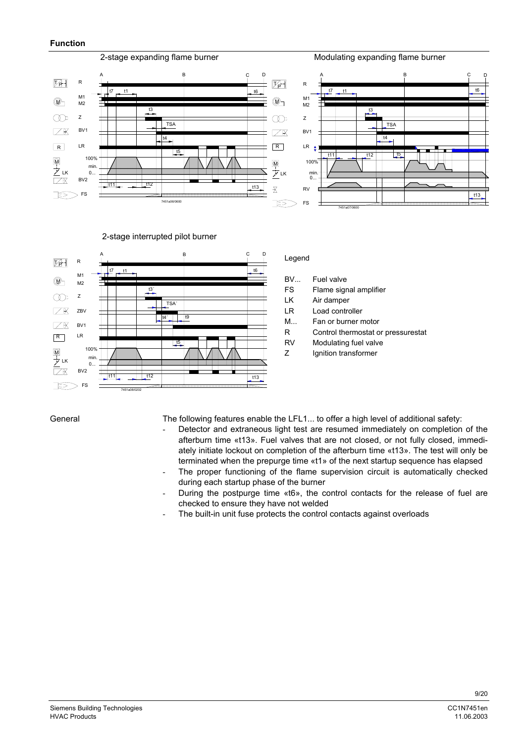

2-stage interrupted pilot burner



## Legend

- BV... Fuel valve
- FS Flame signal amplifier
- LK Air damper
- LR Load controller
- M... Fan or burner motor
- R Control thermostat or pressurestat
- RV Modulating fuel valve
- Z Ignition transformer

General

- The following features enable the LFL1... to offer a high level of additional safety:
- Detector and extraneous light test are resumed immediately on completion of the afterburn time «t13». Fuel valves that are not closed, or not fully closed, immediately initiate lockout on completion of the afterburn time «t13». The test will only be terminated when the prepurge time «t1» of the next startup sequence has elapsed
- The proper functioning of the flame supervision circuit is automatically checked during each startup phase of the burner
- During the postpurge time «t6», the control contacts for the release of fuel are checked to ensure they have not welded
- The built-in unit fuse protects the control contacts against overloads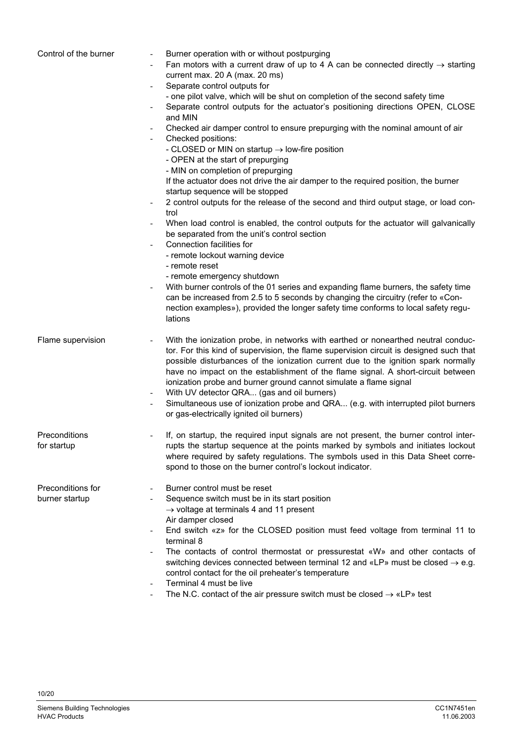| Control of the burner               | Burner operation with or without postpurging<br>Fan motors with a current draw of up to 4 A can be connected directly $\rightarrow$ starting<br>$\overline{\phantom{a}}$<br>current max. 20 A (max. 20 ms)<br>Separate control outputs for<br>$\overline{\phantom{0}}$<br>- one pilot valve, which will be shut on completion of the second safety time<br>Separate control outputs for the actuator's positioning directions OPEN, CLOSE<br>-<br>and MIN<br>Checked air damper control to ensure prepurging with the nominal amount of air<br>$\overline{\phantom{a}}$<br>Checked positions:<br>$\overline{\phantom{a}}$<br>- CLOSED or MIN on startup $\rightarrow$ low-fire position<br>- OPEN at the start of prepurging<br>- MIN on completion of prepurging<br>If the actuator does not drive the air damper to the required position, the burner<br>startup sequence will be stopped<br>2 control outputs for the release of the second and third output stage, or load con-<br>$\overline{\phantom{a}}$<br>trol<br>When load control is enabled, the control outputs for the actuator will galvanically<br>$\overline{\phantom{a}}$<br>be separated from the unit's control section<br>Connection facilities for<br>$\overline{\phantom{a}}$<br>- remote lockout warning device<br>- remote reset<br>- remote emergency shutdown<br>With burner controls of the 01 series and expanding flame burners, the safety time<br>$\overline{\phantom{a}}$<br>can be increased from 2.5 to 5 seconds by changing the circuitry (refer to «Con-<br>nection examples»), provided the longer safety time conforms to local safety regu-<br>lations |
|-------------------------------------|-------------------------------------------------------------------------------------------------------------------------------------------------------------------------------------------------------------------------------------------------------------------------------------------------------------------------------------------------------------------------------------------------------------------------------------------------------------------------------------------------------------------------------------------------------------------------------------------------------------------------------------------------------------------------------------------------------------------------------------------------------------------------------------------------------------------------------------------------------------------------------------------------------------------------------------------------------------------------------------------------------------------------------------------------------------------------------------------------------------------------------------------------------------------------------------------------------------------------------------------------------------------------------------------------------------------------------------------------------------------------------------------------------------------------------------------------------------------------------------------------------------------------------------------------------------------------------------------------------------------------------------------------|
| Flame supervision                   | With the ionization probe, in networks with earthed or nonearthed neutral conduc-<br>$\overline{\phantom{a}}$<br>tor. For this kind of supervision, the flame supervision circuit is designed such that<br>possible disturbances of the ionization current due to the ignition spark normally<br>have no impact on the establishment of the flame signal. A short-circuit between<br>ionization probe and burner ground cannot simulate a flame signal<br>With UV detector QRA (gas and oil burners)<br>-<br>Simultaneous use of ionization probe and QRA (e.g. with interrupted pilot burners<br>$\overline{\phantom{a}}$<br>or gas-electrically ignited oil burners)                                                                                                                                                                                                                                                                                                                                                                                                                                                                                                                                                                                                                                                                                                                                                                                                                                                                                                                                                                          |
| Preconditions<br>for startup        | If, on startup, the required input signals are not present, the burner control inter-<br>$\overline{\phantom{a}}$<br>rupts the startup sequence at the points marked by symbols and initiates lockout<br>where required by safety regulations. The symbols used in this Data Sheet corre-<br>spond to those on the burner control's lockout indicator.                                                                                                                                                                                                                                                                                                                                                                                                                                                                                                                                                                                                                                                                                                                                                                                                                                                                                                                                                                                                                                                                                                                                                                                                                                                                                          |
| Preconditions for<br>burner startup | Burner control must be reset<br>$\overline{\phantom{a}}$<br>Sequence switch must be in its start position<br>$\overline{\phantom{a}}$<br>$\rightarrow$ voltage at terminals 4 and 11 present<br>Air damper closed<br>End switch «z» for the CLOSED position must feed voltage from terminal 11 to<br>$\overline{\phantom{a}}$<br>terminal 8<br>The contacts of control thermostat or pressurestat «W» and other contacts of<br>$\overline{\phantom{a}}$<br>switching devices connected between terminal 12 and «LP» must be closed $\rightarrow$ e.g.<br>control contact for the oil preheater's temperature<br>Terminal 4 must be live<br>$\overline{\phantom{a}}$<br>The N.C. contact of the air pressure switch must be closed $\rightarrow$ «LP» test<br>$\overline{\phantom{a}}$                                                                                                                                                                                                                                                                                                                                                                                                                                                                                                                                                                                                                                                                                                                                                                                                                                                           |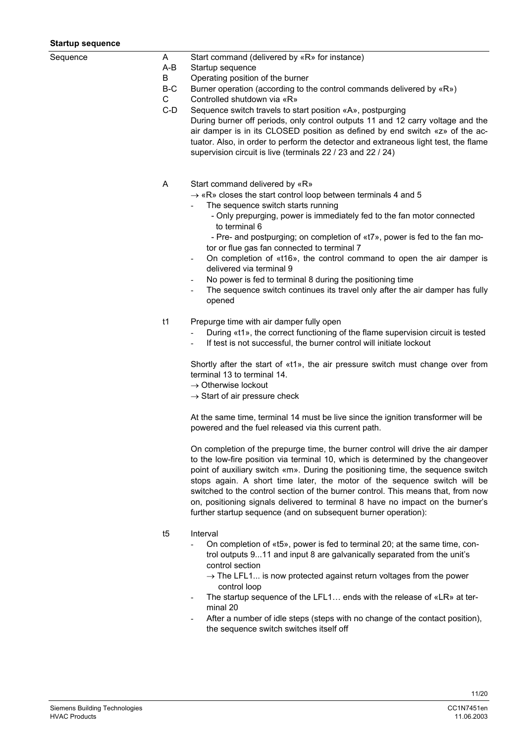#### **Startup sequence**

| sτarτup sequence |              |                                                                                                                                                                                                                                                                                                                                                                                                                                                                                                                                                                             |
|------------------|--------------|-----------------------------------------------------------------------------------------------------------------------------------------------------------------------------------------------------------------------------------------------------------------------------------------------------------------------------------------------------------------------------------------------------------------------------------------------------------------------------------------------------------------------------------------------------------------------------|
| Sequence         | A<br>$A-B$   | Start command (delivered by «R» for instance)<br>Startup sequence                                                                                                                                                                                                                                                                                                                                                                                                                                                                                                           |
|                  | B            | Operating position of the burner                                                                                                                                                                                                                                                                                                                                                                                                                                                                                                                                            |
|                  | B-C          | Burner operation (according to the control commands delivered by «R»)                                                                                                                                                                                                                                                                                                                                                                                                                                                                                                       |
|                  | $\mathsf{C}$ | Controlled shutdown via «R»                                                                                                                                                                                                                                                                                                                                                                                                                                                                                                                                                 |
|                  | $C-D$        | Sequence switch travels to start position «A», postpurging                                                                                                                                                                                                                                                                                                                                                                                                                                                                                                                  |
|                  |              | During burner off periods, only control outputs 11 and 12 carry voltage and the<br>air damper is in its CLOSED position as defined by end switch «z» of the ac-<br>tuator. Also, in order to perform the detector and extraneous light test, the flame<br>supervision circuit is live (terminals 22 / 23 and 22 / 24)                                                                                                                                                                                                                                                       |
|                  | A            | Start command delivered by «R»                                                                                                                                                                                                                                                                                                                                                                                                                                                                                                                                              |
|                  |              | $\rightarrow$ «R» closes the start control loop between terminals 4 and 5                                                                                                                                                                                                                                                                                                                                                                                                                                                                                                   |
|                  |              | The sequence switch starts running<br>- Only prepurging, power is immediately fed to the fan motor connected<br>to terminal 6                                                                                                                                                                                                                                                                                                                                                                                                                                               |
|                  |              | - Pre- and postpurging; on completion of «t7», power is fed to the fan mo-<br>tor or flue gas fan connected to terminal 7                                                                                                                                                                                                                                                                                                                                                                                                                                                   |
|                  |              | On completion of «t16», the control command to open the air damper is<br>delivered via terminal 9                                                                                                                                                                                                                                                                                                                                                                                                                                                                           |
|                  |              | No power is fed to terminal 8 during the positioning time                                                                                                                                                                                                                                                                                                                                                                                                                                                                                                                   |
|                  |              | The sequence switch continues its travel only after the air damper has fully<br>opened                                                                                                                                                                                                                                                                                                                                                                                                                                                                                      |
|                  | t1           | Prepurge time with air damper fully open                                                                                                                                                                                                                                                                                                                                                                                                                                                                                                                                    |
|                  |              | During «t1», the correct functioning of the flame supervision circuit is tested<br>If test is not successful, the burner control will initiate lockout                                                                                                                                                                                                                                                                                                                                                                                                                      |
|                  |              | Shortly after the start of «t1», the air pressure switch must change over from<br>terminal 13 to terminal 14.<br>$\rightarrow$ Otherwise lockout                                                                                                                                                                                                                                                                                                                                                                                                                            |
|                  |              | $\rightarrow$ Start of air pressure check                                                                                                                                                                                                                                                                                                                                                                                                                                                                                                                                   |
|                  |              | At the same time, terminal 14 must be live since the ignition transformer will be<br>powered and the fuel released via this current path.                                                                                                                                                                                                                                                                                                                                                                                                                                   |
|                  |              | On completion of the prepurge time, the burner control will drive the air damper<br>to the low-fire position via terminal 10, which is determined by the changeover<br>point of auxiliary switch «m». During the positioning time, the sequence switch<br>stops again. A short time later, the motor of the sequence switch will be<br>switched to the control section of the burner control. This means that, from now<br>on, positioning signals delivered to terminal 8 have no impact on the burner's<br>further startup sequence (and on subsequent burner operation): |
|                  | t5           | Interval<br>On completion of «t5», power is fed to terminal 20; at the same time, con-<br>trol outputs 911 and input 8 are galvanically separated from the unit's<br>control section<br>$\rightarrow$ The LFL1 is now protected against return voltages from the power<br>control loop<br>The startup sequence of the LFL1 ends with the release of «LR» at ter-<br>minal 20<br>After a number of idle steps (steps with no change of the contact position),<br>the sequence switch switches itself off                                                                     |
|                  |              |                                                                                                                                                                                                                                                                                                                                                                                                                                                                                                                                                                             |
|                  |              |                                                                                                                                                                                                                                                                                                                                                                                                                                                                                                                                                                             |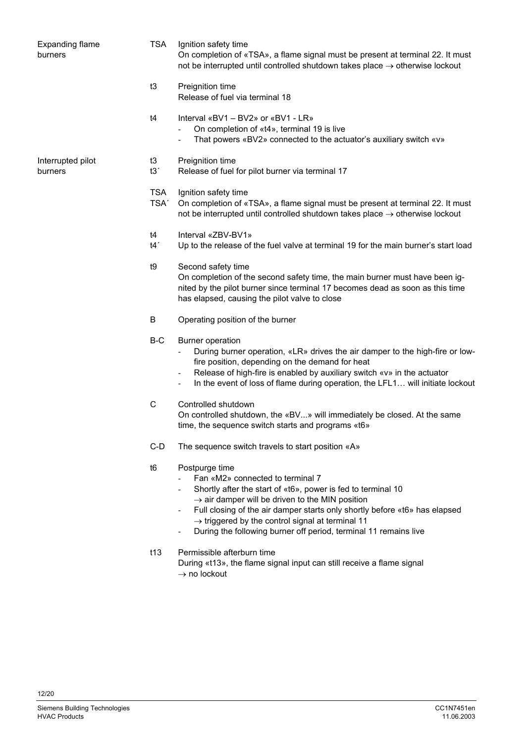| <b>Expanding flame</b><br>burners | <b>TSA</b>                     | Ignition safety time<br>On completion of «TSA», a flame signal must be present at terminal 22. It must<br>not be interrupted until controlled shutdown takes place $\rightarrow$ otherwise lockout                                                                                                                                                                                                                              |
|-----------------------------------|--------------------------------|---------------------------------------------------------------------------------------------------------------------------------------------------------------------------------------------------------------------------------------------------------------------------------------------------------------------------------------------------------------------------------------------------------------------------------|
|                                   | t3                             | Preignition time<br>Release of fuel via terminal 18                                                                                                                                                                                                                                                                                                                                                                             |
|                                   | t4                             | Interval « $BV1 - BV2$ » or « $BV1 - LR$ »<br>On completion of «t4», terminal 19 is live<br>That powers «BV2» connected to the actuator's auxiliary switch «v»                                                                                                                                                                                                                                                                  |
| Interrupted pilot<br>burners      | t3<br>t3'                      | Preignition time<br>Release of fuel for pilot burner via terminal 17                                                                                                                                                                                                                                                                                                                                                            |
|                                   | <b>TSA</b><br>TSA <sup>'</sup> | Ignition safety time<br>On completion of «TSA», a flame signal must be present at terminal 22. It must<br>not be interrupted until controlled shutdown takes place $\rightarrow$ otherwise lockout                                                                                                                                                                                                                              |
|                                   | t4<br>t4'                      | Interval «ZBV-BV1»<br>Up to the release of the fuel valve at terminal 19 for the main burner's start load                                                                                                                                                                                                                                                                                                                       |
|                                   | t9                             | Second safety time<br>On completion of the second safety time, the main burner must have been ig-<br>nited by the pilot burner since terminal 17 becomes dead as soon as this time<br>has elapsed, causing the pilot valve to close                                                                                                                                                                                             |
|                                   | B                              | Operating position of the burner                                                                                                                                                                                                                                                                                                                                                                                                |
|                                   | B-C                            | <b>Burner operation</b><br>During burner operation, «LR» drives the air damper to the high-fire or low-<br>fire position, depending on the demand for heat<br>Release of high-fire is enabled by auxiliary switch «v» in the actuator<br>$\overline{\phantom{a}}$<br>In the event of loss of flame during operation, the LFL1 will initiate lockout<br>٠                                                                        |
|                                   | C                              | Controlled shutdown<br>On controlled shutdown, the «BV» will immediately be closed. At the same<br>time, the sequence switch starts and programs «t6»                                                                                                                                                                                                                                                                           |
|                                   | C-D                            | The sequence switch travels to start position «A»                                                                                                                                                                                                                                                                                                                                                                               |
|                                   | t6                             | Postpurge time<br>Fan «M2» connected to terminal 7<br>Shortly after the start of «t6», power is fed to terminal 10<br>$\rightarrow$ air damper will be driven to the MIN position<br>Full closing of the air damper starts only shortly before «t6» has elapsed<br>$\rightarrow$ triggered by the control signal at terminal 11<br>During the following burner off period, terminal 11 remains live<br>$\overline{\phantom{a}}$ |
|                                   | t13                            | Permissible afterburn time<br>During «t13», the flame signal input can still receive a flame signal<br>$\rightarrow$ no lockout                                                                                                                                                                                                                                                                                                 |
|                                   |                                |                                                                                                                                                                                                                                                                                                                                                                                                                                 |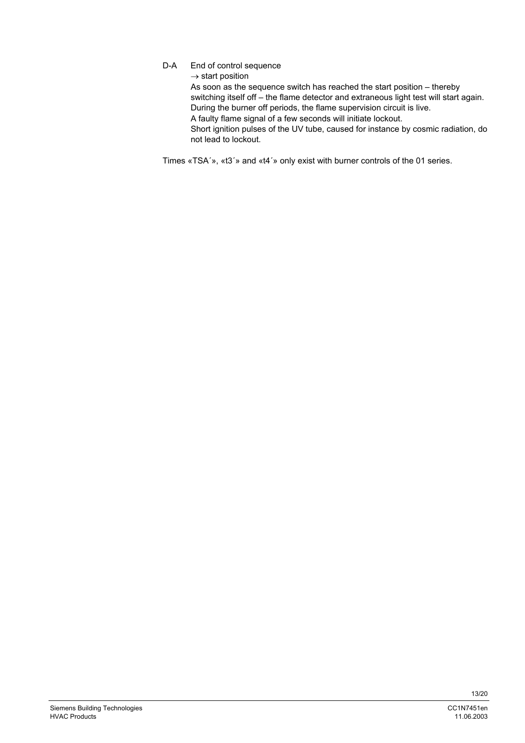D-A End of control sequence

 $\rightarrow$  start position

As soon as the sequence switch has reached the start position – thereby switching itself off – the flame detector and extraneous light test will start again. During the burner off periods, the flame supervision circuit is live. A faulty flame signal of a few seconds will initiate lockout. Short ignition pulses of the UV tube, caused for instance by cosmic radiation, do not lead to lockout.

Times «TSA´», «t3´» and «t4´» only exist with burner controls of the 01 series.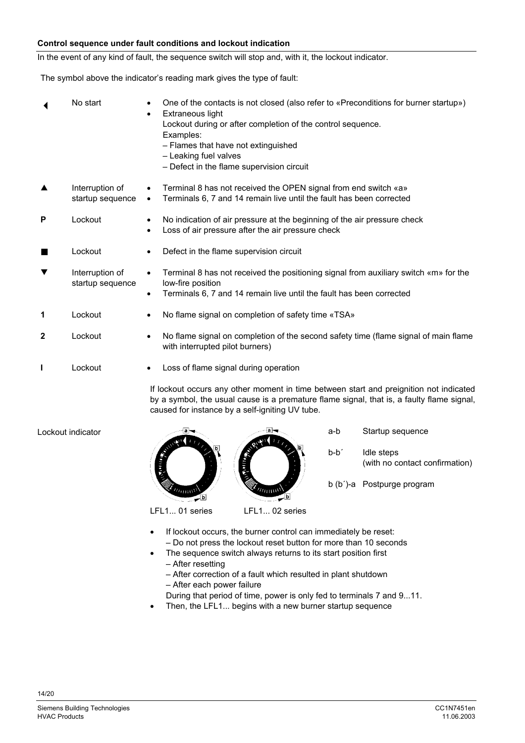## **Control sequence under fault conditions and lockout indication**

In the event of any kind of fault, the sequence switch will stop and, with it, the lockout indicator.

The symbol above the indicator's reading mark gives the type of fault:

|              | No start                            | One of the contacts is not closed (also refer to «Preconditions for burner startup»)<br>Extraneous light<br>$\bullet$<br>Lockout during or after completion of the control sequence.<br>Examples:<br>- Flames that have not extinguished<br>- Leaking fuel valves<br>- Defect in the flame supervision circuit |
|--------------|-------------------------------------|----------------------------------------------------------------------------------------------------------------------------------------------------------------------------------------------------------------------------------------------------------------------------------------------------------------|
|              | Interruption of<br>startup sequence | Terminal 8 has not received the OPEN signal from end switch «a»<br>Terminals 6, 7 and 14 remain live until the fault has been corrected<br>$\bullet$                                                                                                                                                           |
| P            | Lockout                             | No indication of air pressure at the beginning of the air pressure check<br>Loss of air pressure after the air pressure check                                                                                                                                                                                  |
| ш            | Lockout                             | Defect in the flame supervision circuit                                                                                                                                                                                                                                                                        |
| ▼            | Interruption of<br>startup sequence | Terminal 8 has not received the positioning signal from auxiliary switch «m» for the<br>low-fire position<br>Terminals 6, 7 and 14 remain live until the fault has been corrected                                                                                                                              |
| 1            | Lockout                             | No flame signal on completion of safety time «TSA»                                                                                                                                                                                                                                                             |
| $\mathbf{2}$ | Lockout                             | No flame signal on completion of the second safety time (flame signal of main flame<br>with interrupted pilot burners)                                                                                                                                                                                         |
|              | Lockout                             | Loss of flame signal during operation                                                                                                                                                                                                                                                                          |
|              |                                     |                                                                                                                                                                                                                                                                                                                |

If lockout occurs any other moment in time between start and preignition not indicated by a symbol, the usual cause is a premature flame signal, that is, a faulty flame signal, caused for instance by a self-igniting UV tube.

Lockout indicator



If lockout occurs, the burner control can immediately be reset:

- Do not press the lockout reset button for more than 10 seconds
- The sequence switch always returns to its start position first – After resetting
	- After correction of a fault which resulted in plant shutdown
	- After each power failure
	- During that period of time, power is only fed to terminals 7 and 9...11.
- Then, the LFL1... begins with a new burner startup sequence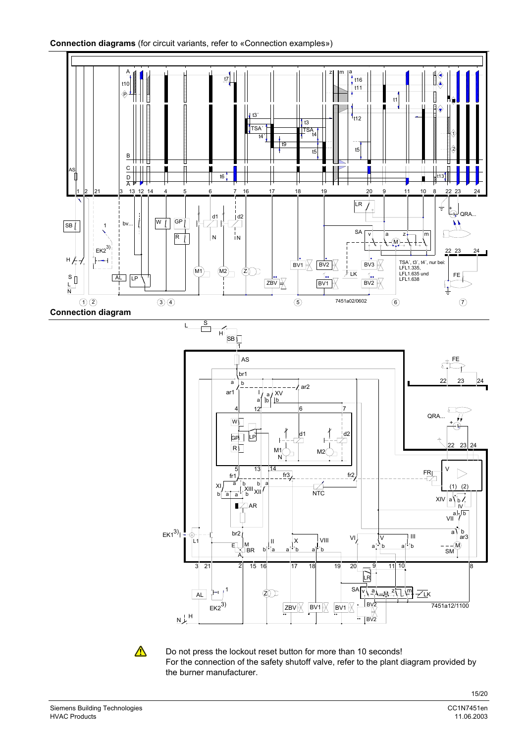

Do not press the lockout reset button for more than 10 seconds! For the connection of the safety shutoff valve, refer to the plant diagram provided by the burner manufacturer.

 $\bigwedge$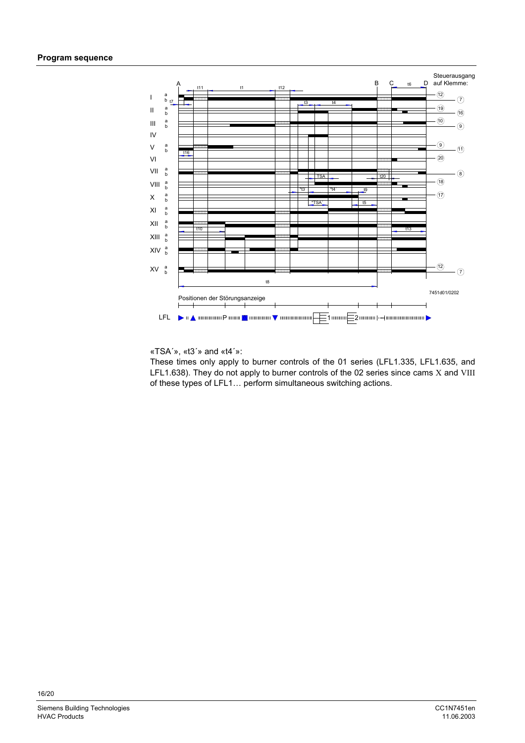

«TSA´», «t3´» and «t4´»:

These times only apply to burner controls of the 01 series (LFL1.335, LFL1.635, and LFL1.638). They do not apply to burner controls of the 02 series since cams X and VIII of these types of LFL1… perform simultaneous switching actions.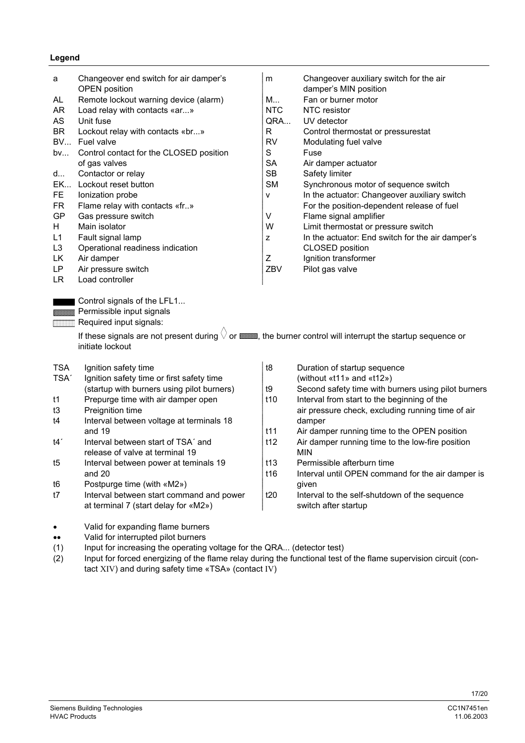## **Legend**

| a                        | Changeover end switch for air damper's<br><b>OPEN</b> position                                                                                 | m               | Changeover auxiliary switch for the air<br>damper's MIN position |
|--------------------------|------------------------------------------------------------------------------------------------------------------------------------------------|-----------------|------------------------------------------------------------------|
| AL.                      | Remote lockout warning device (alarm)                                                                                                          | M               | Fan or burner motor                                              |
| AR                       |                                                                                                                                                | <b>NTC</b>      | NTC resistor                                                     |
| AS                       | Load relay with contacts «ar»<br>Unit fuse                                                                                                     | QRA             | UV detector                                                      |
|                          |                                                                                                                                                |                 |                                                                  |
| <b>BR</b>                | Lockout relay with contacts «br»                                                                                                               | R               | Control thermostat or pressurestat                               |
| <b>BV</b>                | Fuel valve                                                                                                                                     | <b>RV</b>       | Modulating fuel valve                                            |
| bv                       | Control contact for the CLOSED position                                                                                                        | S               | Fuse                                                             |
|                          | of gas valves                                                                                                                                  | <b>SA</b>       | Air damper actuator                                              |
| d                        | Contactor or relay                                                                                                                             | <b>SB</b>       | Safety limiter                                                   |
| <b>EK</b>                | Lockout reset button                                                                                                                           | <b>SM</b>       | Synchronous motor of sequence switch                             |
| FE.                      | Ionization probe                                                                                                                               | v               | In the actuator: Changeover auxiliary switch                     |
| <b>FR</b>                | Flame relay with contacts «fr»                                                                                                                 |                 | For the position-dependent release of fuel                       |
| GP                       | Gas pressure switch                                                                                                                            | V               | Flame signal amplifier                                           |
| H.                       | Main isolator                                                                                                                                  | W               | Limit thermostat or pressure switch                              |
| L1                       | Fault signal lamp                                                                                                                              | z               | In the actuator: End switch for the air damper's                 |
| L <sub>3</sub>           | Operational readiness indication                                                                                                               |                 | CLOSED position                                                  |
| LK                       | Air damper                                                                                                                                     | Ζ               | Ignition transformer                                             |
| LP                       | Air pressure switch                                                                                                                            | ZBV             | Pilot gas valve                                                  |
| LR.                      | Load controller                                                                                                                                |                 |                                                                  |
|                          |                                                                                                                                                |                 |                                                                  |
|                          | Control signals of the LFL1                                                                                                                    |                 |                                                                  |
|                          | <b>SSSSSSSSS</b> Permissible input signals                                                                                                     |                 |                                                                  |
| <b>THE REAL PROPERTY</b> | Required input signals:                                                                                                                        |                 |                                                                  |
|                          | If these signals are not present during $\sqrt{ }$ or $\frac{1}{2}$ or $\frac{1}{2}$ the burner control will interrupt the startup sequence or |                 |                                                                  |
|                          | initiate lockout                                                                                                                               |                 |                                                                  |
| <b>TSA</b>               | Ignition safety time                                                                                                                           | t8              | Duration of startup sequence                                     |
| TSA <sup>'</sup>         | Ignition safety time or first safety time                                                                                                      |                 | (without $\kappa$ t11» and $\kappa$ t12»)                        |
|                          | (startup with burners using pilot burners)                                                                                                     | t9              | Second safety time with burners using pilot burners              |
| t1                       | Prepurge time with air damper open                                                                                                             | t <sub>10</sub> | Interval from start to the beginning of the                      |
| t3                       | Preignition time                                                                                                                               |                 | air pressure check, excluding running time of air                |
| t4                       | Interval between voltage at terminals 18                                                                                                       |                 | damper                                                           |
|                          |                                                                                                                                                |                 |                                                                  |

- t4<sup>'</sup> Interval between start of TSA' and t12 Air damper running time to the low-fire position release of valve at terminal 19 MIN
- t5 Interval between power at teminals 19 the 113 Permissible afterburn time
- t6 Postpurge time (with «M2») end and the state of the state of the state of the state of the state of the state of the state of the state of the state of the state of the state of the state of the state of the state of th
- t7 Interval between start command and power  $\frac{1}{20}$  Interval to the self-shutdown of the sequence at terminal 7 (start delay for «M2») switch after startup
- and 19<br>Interval between start of TSA' and<br>Interval between start of TSA' and<br>Interval between start of TSA' and<br>Interval between start of TSA' and<br>Interval between start of TSA' and and 20 **t16** Interval until OPEN command for the air damper is
- Valid for expanding flame burners •• Valid for interrupted pilot burners
- (1) Input for increasing the operating voltage for the QRA... (detector test)
- (2) Input for forced energizing of the flame relay during the functional test of the flame supervision circuit (contact XIV) and during safety time «TSA» (contact IV)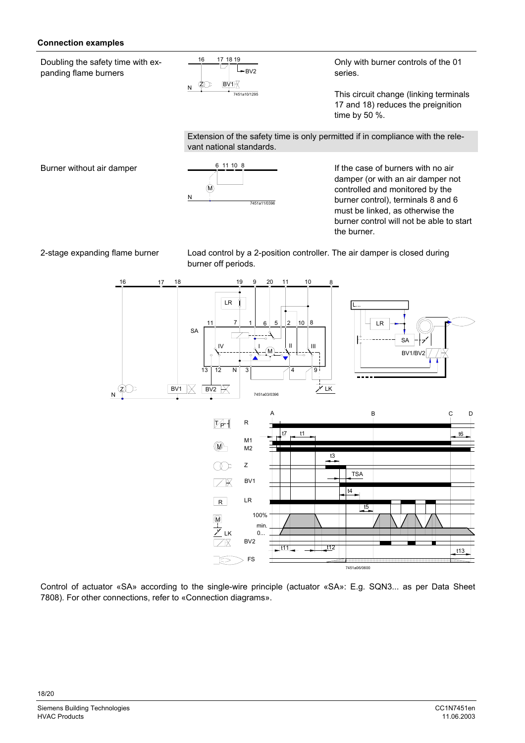## **Connection examples**

Doubling the safety time with expanding flame burners



Only with burner controls of the 01 series.

This circuit change (linking terminals 17 and 18) reduces the preignition time by 50 %.

Extension of the safety time is only permitted if in compliance with the relevant national standards.

Burner without air damper  $\frac{6,11,10,8}{2}$ 



If the case of burners with no air damper (or with an air damper not controlled and monitored by the burner control), terminals 8 and 6 must be linked, as otherwise the burner control will not be able to start the burner.

2-stage expanding flame burner Load control by a 2-position controller. The air damper is closed during burner off periods.





Control of actuator «SA» according to the single-wire principle (actuator «SA»: E.g. SQN3... as per Data Sheet 7808). For other connections, refer to «Connection diagrams».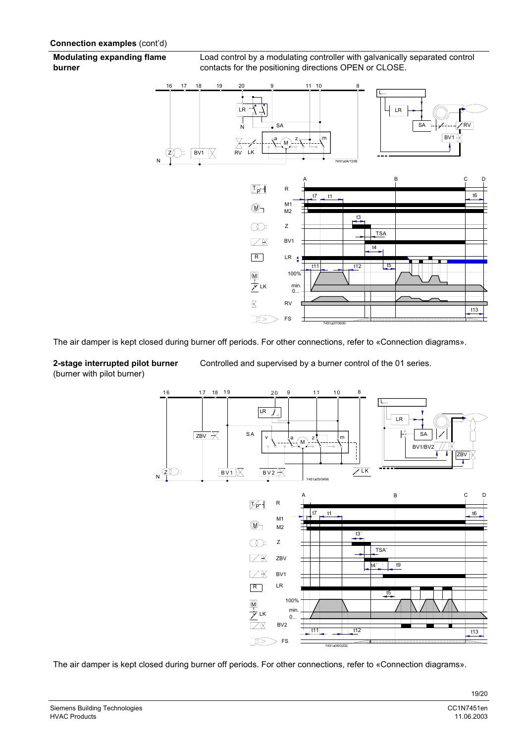**Modulating expanding flame burner**

Load control by a modulating controller with galvanically separated control contacts for the positioning directions OPEN or CLOSE.



The air damper is kept closed during burner off periods. For other connections, refer to «Connection diagrams».

## **2-stage interrupted pilot burner** (burner with pilot burner)

Controlled and supervised by a burner control of the 01 series.





The air damper is kept closed during burner off periods. For other connections, refer to «Connection diagrams».